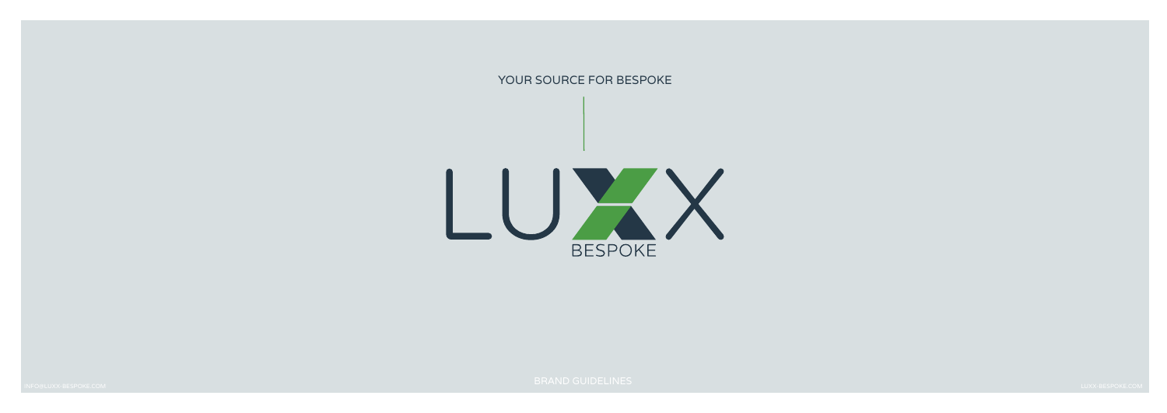

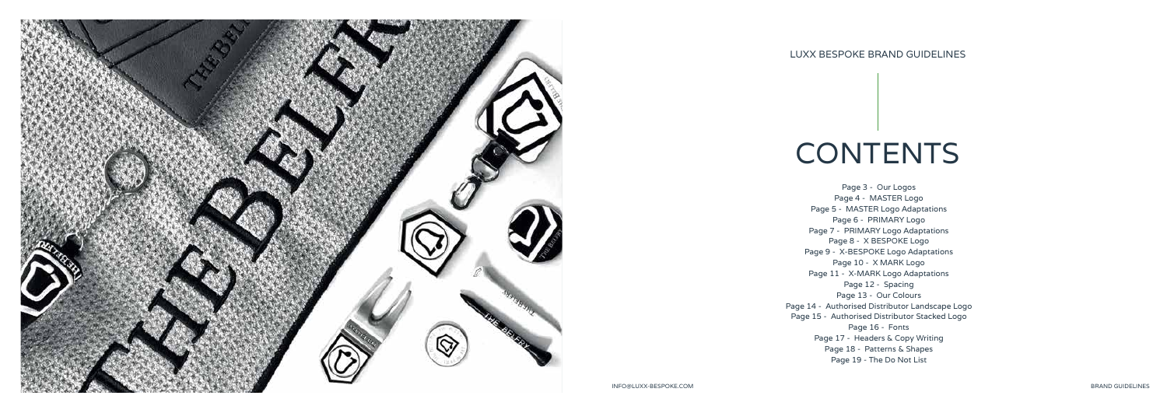

## **CONTENTS**

INFO@LUXX-BESPOKE.COM BRAND GUIDELINES

### LUXX BESPOKE BRAND GUIDELINES

- 
- 
- 
- 
- 
- 
- 
- 
- 
- 
- 
- 
- 
- 
- 
- 
- 

Page 3 - Our Logos Page 4 - MASTER Logo Page 5 - MASTER Logo Adaptations Page 6 - PRIMARY Logo Page 7 - PRIMARY Logo Adaptations Page 8 - X BESPOKE Logo Page 9 - X-BESPOKE Logo Adaptations Page 10 - X MARK Logo Page 11 - X-MARK Logo Adaptations Page 12 - Spacing Page 13 - Our Colours Page 14 - Authorised Distributor Landscape Logo Page 15 - Authorised Distributor Stacked Logo Page 16 - Fonts Page 17 - Headers & Copy Writing Page 18 - Patterns & Shapes Page 19 - The Do Not List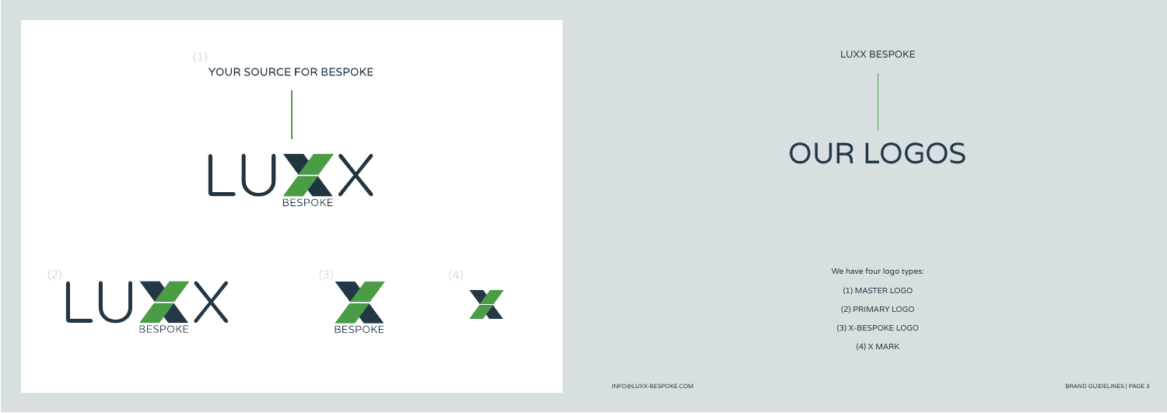

YOUR SOURCE FOR BESPOKE

INFO@LUXX-BESPOKE.COM BRAND GUIDELINES | PAGE 3

LUXX BESPOKE

# OUR LOGOS

We have four logo types:

(1) MASTER LOGO

(2) PRIMARY LOGO

(3) X-BESPOKE LOGO

(4) X MARK

(1)





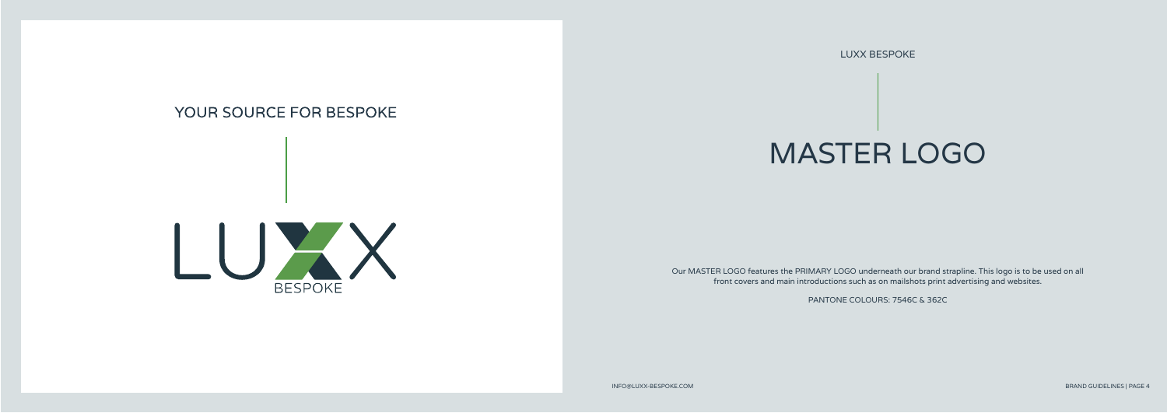LUXX BESPOKE

# MASTER LOGO

### YOUR SOURCE FOR BESPOKE



Our MASTER LOGO features the PRIMARY LOGO underneath our brand strapline. This logo is to be used on all front covers and main introductions such as on mailshots print advertising and websites.

PANTONE COLOURS: 7546C & 362C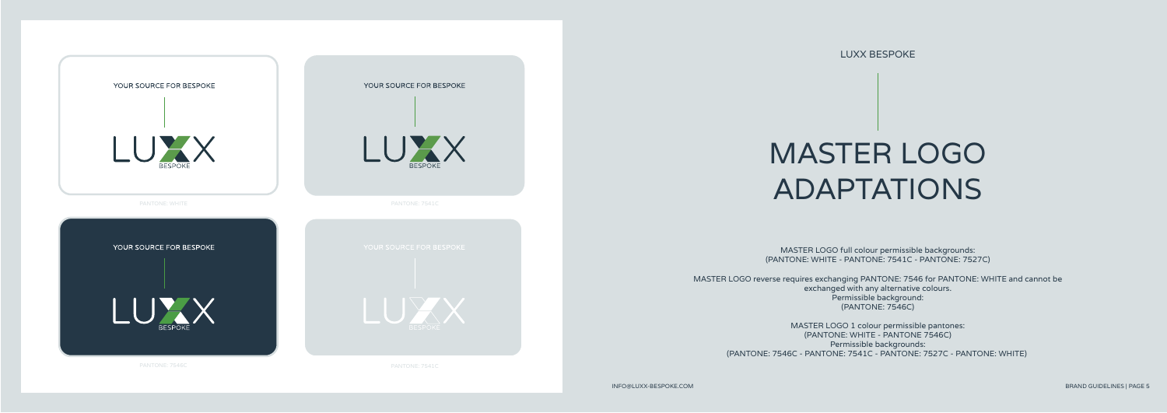

LUXX BESPOKE

# MASTER LOGO ADAPTATIONS

MASTER LOGO full colour permissible backgrounds: (PANTONE: WHITE - PANTONE: 7541C - PANTONE: 7527C)

MASTER LOGO reverse requires exchanging PANTONE: 7546 for PANTONE: WHITE and cannot be exchanged with any alternative colours. Permissible background: (PANTONE: 7546C)

MASTER LOGO 1 colour permissible pantones: (PANTONE: WHITE - PANTONE 7546C) Permissible backgrounds: (PANTONE: 7546C - PANTONE: 7541C - PANTONE: 7527C - PANTONE: WHITE)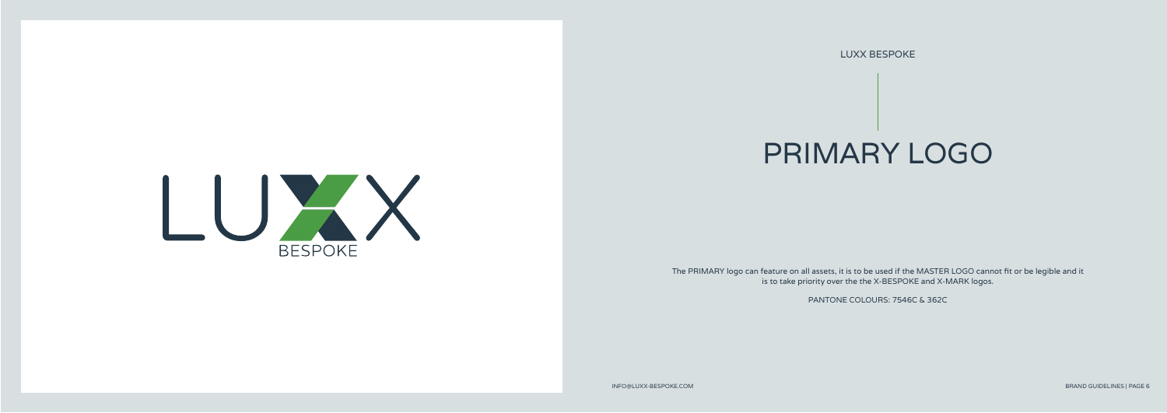LUXX BESPOKE

## PRIMARY LOGO

The PRIMARY logo can feature on all assets, it is to be used if the MASTER LOGO cannot fit or be legible and it is to take priority over the the X-BESPOKE and X-MARK logos.

PANTONE COLOURS: 7546C & 362C

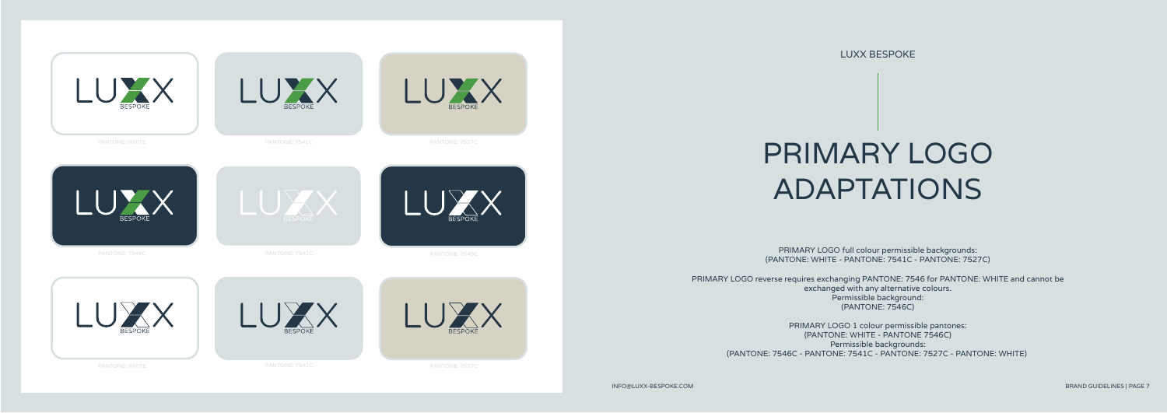LUXX BESPOKE

# PRIMARY LOGO ADAPTATIONS

PRIMARY LOGO full colour permissible backgrounds: (PANTONE: WHITE - PANTONE: 7541C - PANTONE: 7527C)

PRIMARY LOGO reverse requires exchanging PANTONE: 7546 for PANTONE: WHITE and cannot be exchanged with any alternative colours. Permissible background: (PANTONE: 7546C)

PRIMARY LOGO 1 colour permissible pantones: (PANTONE: WHITE - PANTONE 7546C) Permissible backgrounds: (PANTONE: 7546C - PANTONE: 7541C - PANTONE: 7527C - PANTONE: WHITE)

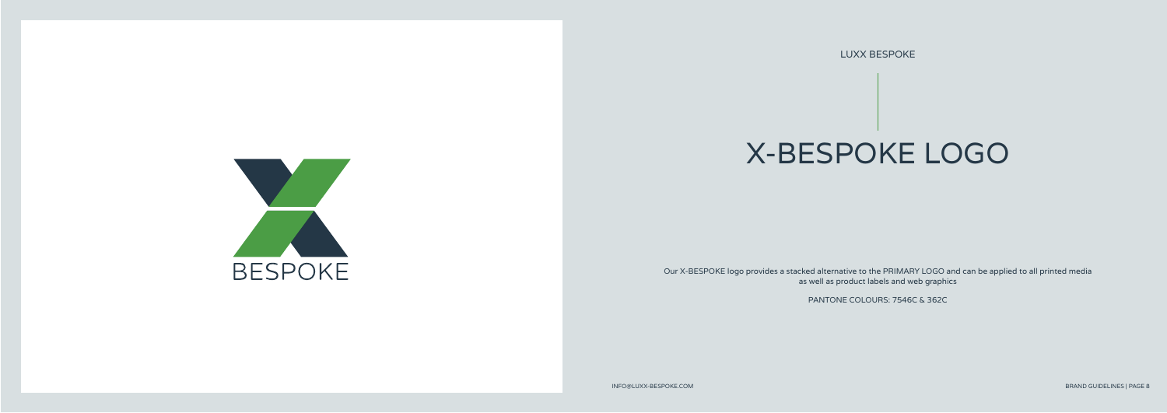LUXX BESPOKE

# X-BESPOKE LOGO

Our X-BESPOKE logo provides a stacked alternative to the PRIMARY LOGO and can be applied to all printed media as well as product labels and web graphics

PANTONE COLOURS: 7546C & 362C

**BESPOKE**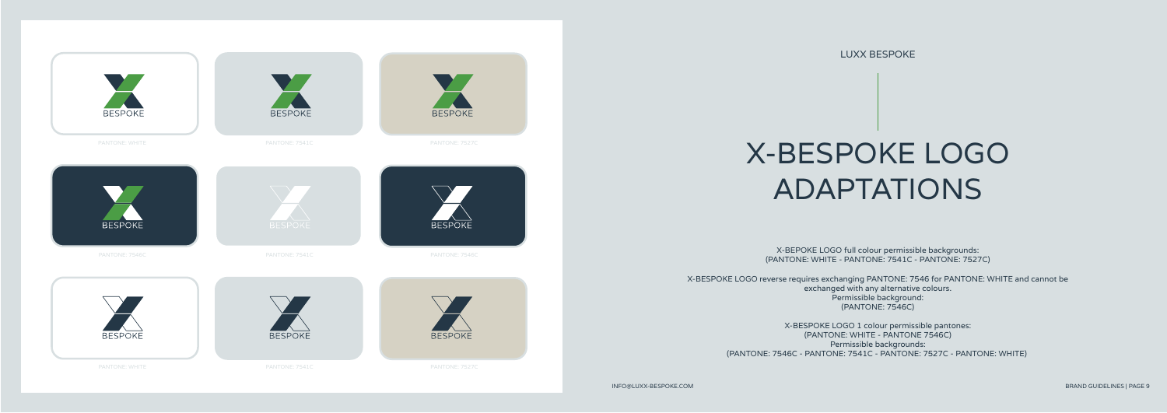LUXX BESPOKE

# X-BESPOKE LOGO ADAPTATIONS

X-BEPOKE LOGO full colour permissible backgrounds: (PANTONE: WHITE - PANTONE: 7541C - PANTONE: 7527C)

X-BESPOKE LOGO reverse requires exchanging PANTONE: 7546 for PANTONE: WHITE and cannot be exchanged with any alternative colours. Permissible background: (PANTONE: 7546C)

> X-BESPOKE LOGO 1 colour permissible pantones: (PANTONE: WHITE - PANTONE 7546C) Permissible backgrounds: (PANTONE: 7546C - PANTONE: 7541C - PANTONE: 7527C - PANTONE: WHITE)

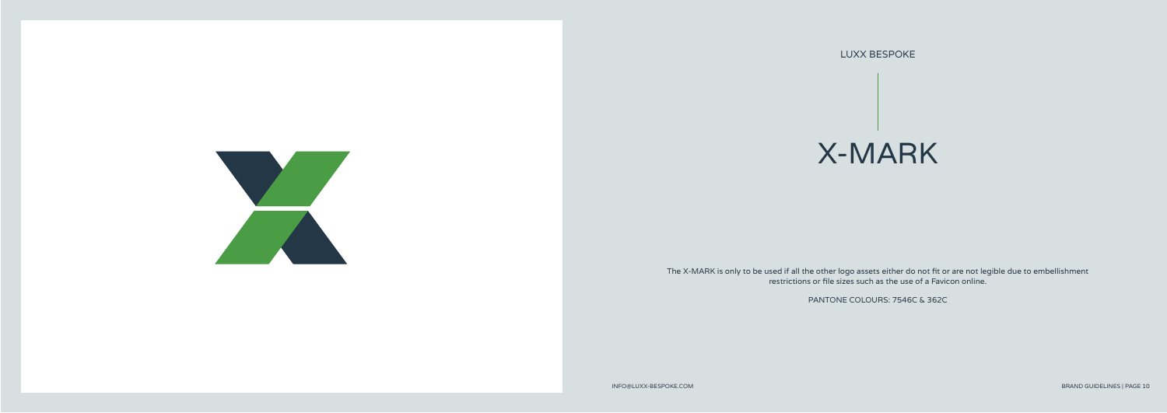LUXX BESPOKE

## X-MARK



The X-MARK is only to be used if all the other logo assets either do not fit or are not legible due to embellishment restrictions or file sizes such as the use of a Favicon online.

PANTONE COLOURS: 7546C & 362C

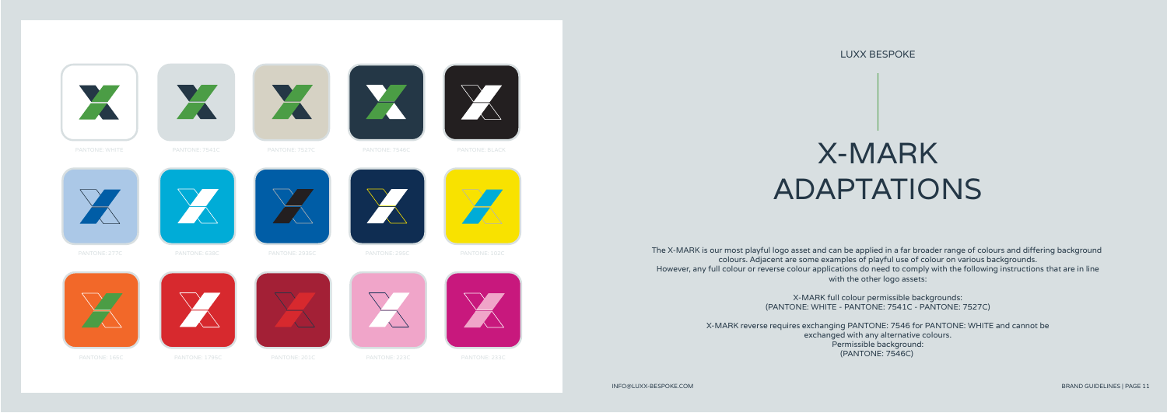



The X-MARK is our most playful logo asset and can be applied in a far broader range of colours and differing background colours. Adjacent are some examples of playful use of colour on various backgrounds. However, any full colour or reverse colour applications do need to comply with the following instructions that are in line with the other logo assets:

> X-MARK full colour permissible backgrounds: (PANTONE: WHITE - PANTONE: 7541C - PANTONE: 7527C)

X-MARK reverse requires exchanging PANTONE: 7546 for PANTONE: WHITE and cannot be exchanged with any alternative colours. Permissible background: (PANTONE: 7546C)



XXI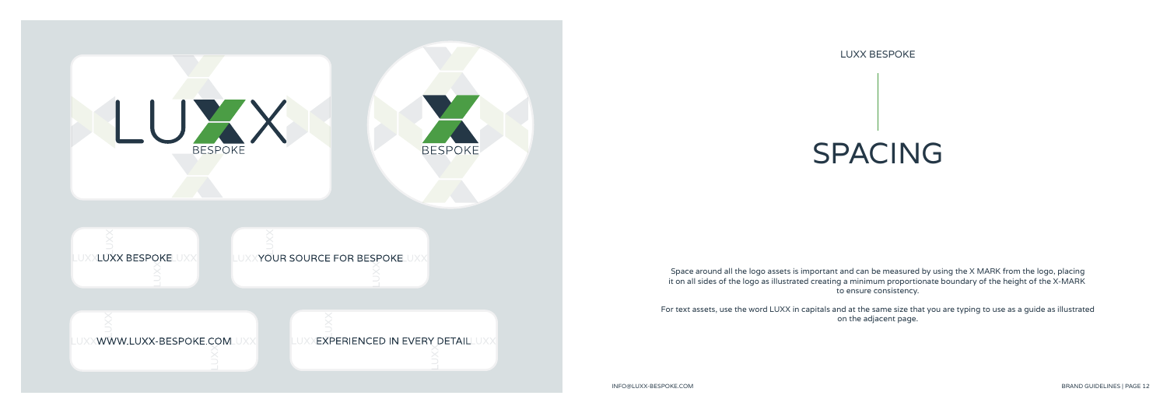

SPACING

Space around all the logo assets is important and can be measured by using the X MARK from the logo, placing it on all sides of the logo as illustrated creating a minimum proportionate boundary of the height of the X-MARK to ensure consistency.

For text assets, use the word LUXX in capitals and at the same size that you are typing to use as a guide as illustrated on the adjacent page.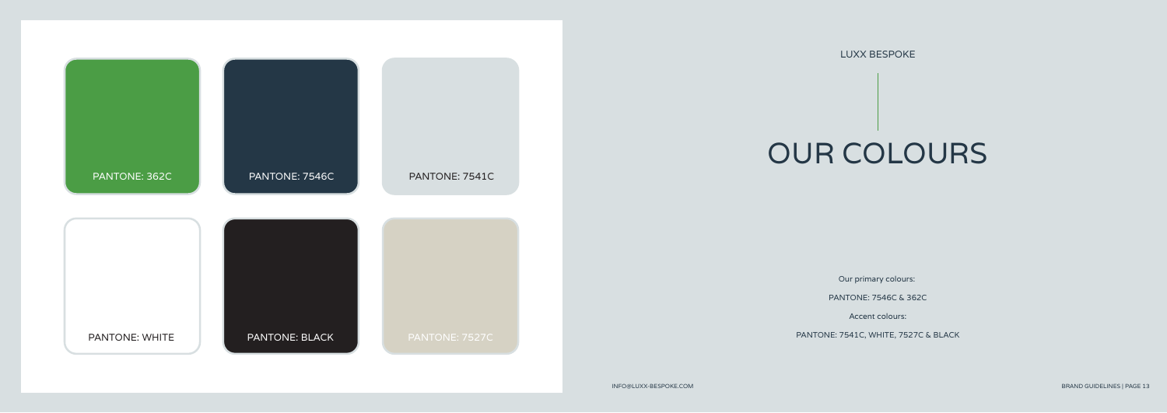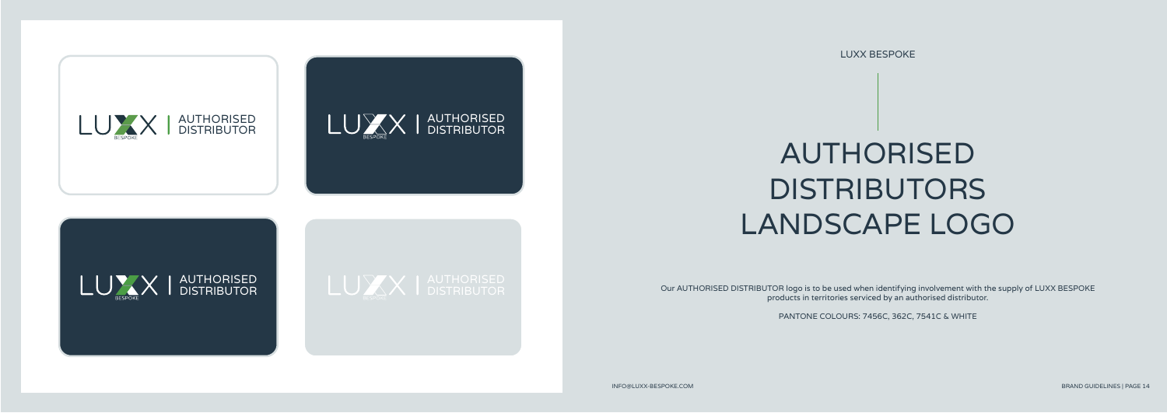LUXX BESPOKE



Our AUTHORISED DISTRIBUTOR logo is to be used when identifying involvement with the supply of LUXX BESPOKE products in territories serviced by an authorised distributor.

PANTONE COLOURS: 7456C, 362C, 7541C & WHITE

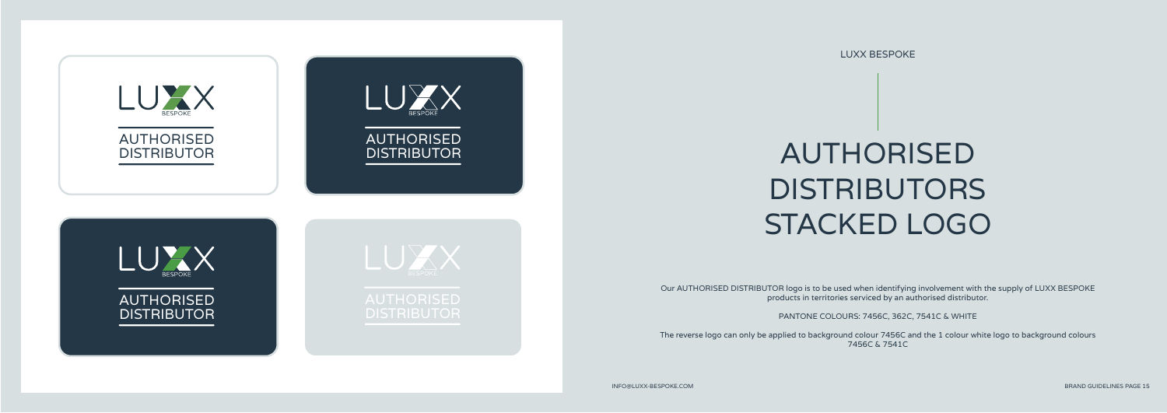LUXX BESPOKE

# AUTHORISED **DISTRIBUTORS** STACKED LOGO

Our AUTHORISED DISTRIBUTOR logo is to be used when identifying involvement with the supply of LUXX BESPOKE products in territories serviced by an authorised distributor.

PANTONE COLOURS: 7456C, 362C, 7541C & WHITE

The reverse logo can only be applied to background colour 7456C and the 1 colour white logo to background colours 7456C & 7541C

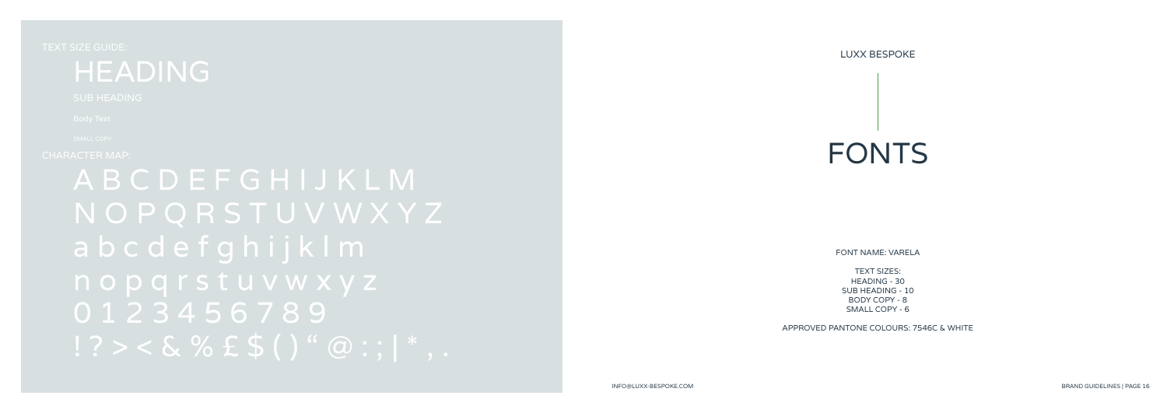LUXX BESPOKE

FONTS

FONT NAME: VARELA

TEXT SIZES: HEADING - 30 SUB HEADING - 10 BODY COPY - 8 SMALL COPY - 6

APPROVED PANTONE COLOURS: 7546C & WHITE

### HEADING

A B C D E F G H I J K L M a b c d e f g h i j k l m 0 1 2 3 4 5 6 7 8 9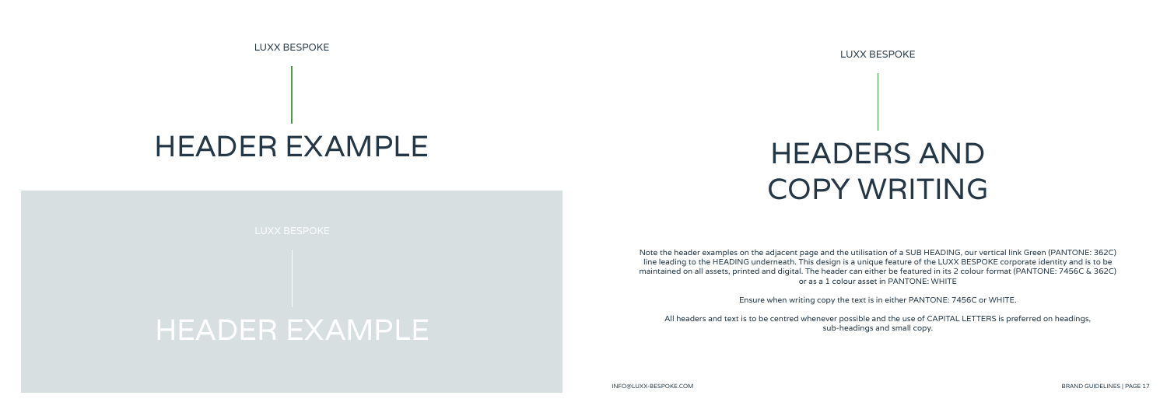# HEADERS AND COPY WRITING

 Note the header examples on the adjacent page and the utilisation of a SUB HEADING, our vertical link Green (PANTONE: 362C) maintained on all assets, printed and digital. The header can either be featured in its 2 colour format (PANTONE: 7456C & 362C) line leading to the HEADING underneath. This design is a unique feature of the LUXX BESPOKE corporate identity and is to be or as a 1 colour asset in PANTONE: WHITE

 $T_{\rm eff}$  or  $T_{\rm eff}$ All headers and text is to be centred whenever possible and the use of CAPITAL LETTERS is preferred on headings, sub-headings and small copy.

Ensure when writing copy the text is in either PANTONE: 7456C or WHITE.

LUXX BESPOKE

### HEADER EXAMPLE

### HEADER EXAMPLE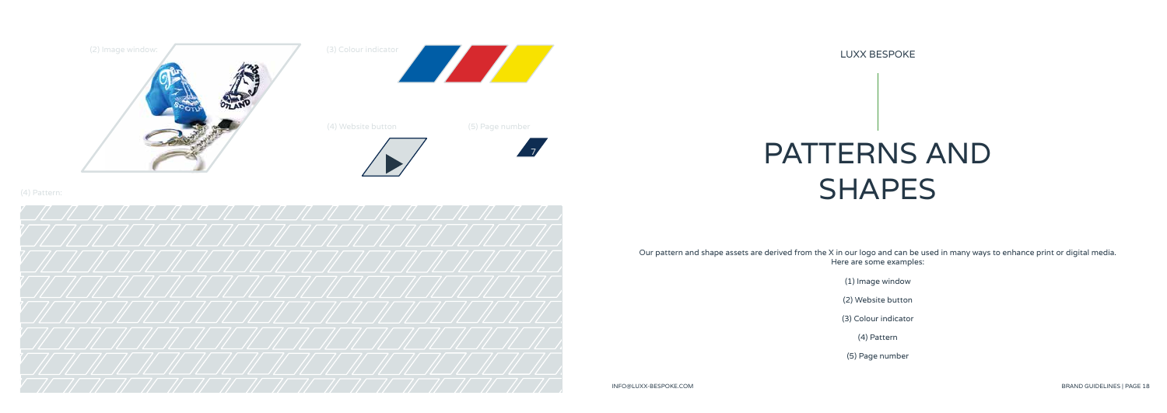

LUXX BESPOKE

PATTERNS AND SHAPES

Our pattern and shape assets are derived from the X in our logo and can be used in many ways to enhance print or digital media. Here are some examples:

(1) Image window

(2) Website button

(3) Colour indicator

(4) Pattern

(5) Page number







7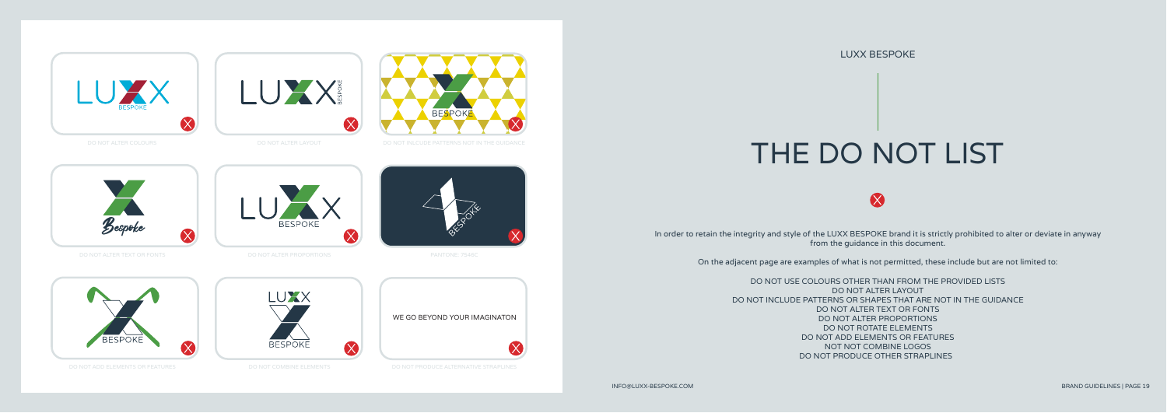# THE DO NOT LIST

 $\boldsymbol{\chi}$ 

In order to retain the integrity and style of the LUXX BESPOKE brand it is strictly prohibited to alter or deviate in anyway

from the guidance in this document.

On the adjacent page are examples of what is not permitted, these include but are not limited to:

Bespoke  $\infty$ 

DO NOT INCLUDE PATTERNS OR SHAPES THAT ARE NOT IN THE GUIDANCE

LUXX WE GO BEYOND YOUR IMAGINATON**BESPOKE** 



 $\propto$ 











DO NOT USE COLOURS OTHER THAN FROM THE PROVIDED LISTS DO NOT ALTER LAYOUT DO NOT ALTER TEXT OR FONTS DO NOT ALTER PROPORTIONS DO NOT ROTATE ELEMENTS DO NOT ADD ELEMENTS OR FEATURES NOT NOT COMBINE LOGOS DO NOT PRODUCE OTHER STRAPLINES

**BESPOKE** 



LUXX

 $\propto$ 

 $\propto$ 

**BESPOKE**